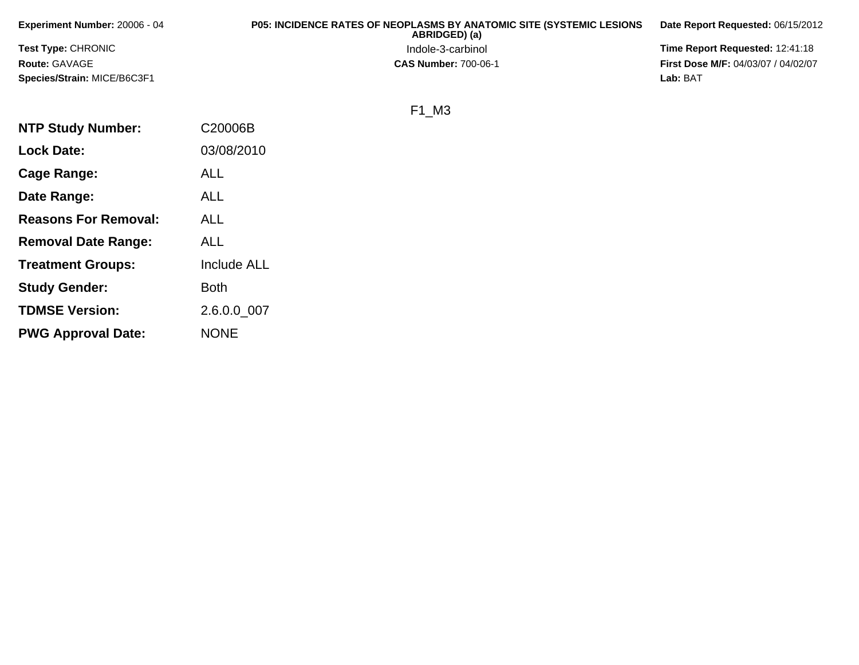| <b>Experiment Number: 20006 - 04</b> | <b>P05: INCIDENCE RATES OF NEOPLASMS BY ANATOMIC SITE (SYSTEMIC LESIONS)</b><br>ABRIDGED) (a) | Date Report Requested: 06/15/2012          |
|--------------------------------------|-----------------------------------------------------------------------------------------------|--------------------------------------------|
| <b>Test Type: CHRONIC</b>            | Indole-3-carbinol                                                                             | <b>Time Report Requested: 12:41:18</b>     |
| Route: GAVAGE                        | <b>CAS Number: 700-06-1</b>                                                                   | <b>First Dose M/F: 04/03/07 / 04/02/07</b> |
| <b>Species/Strain: MICE/B6C3F1</b>   |                                                                                               | Lab: BAT                                   |

## F1\_M3

| <b>NTP Study Number:</b>    | C20006B            |
|-----------------------------|--------------------|
| <b>Lock Date:</b>           | 03/08/2010         |
| Cage Range:                 | <b>ALL</b>         |
| Date Range:                 | ALL                |
| <b>Reasons For Removal:</b> | ALL                |
| <b>Removal Date Range:</b>  | ALL                |
| <b>Treatment Groups:</b>    | <b>Include ALL</b> |
| <b>Study Gender:</b>        | Both               |
| <b>TDMSE Version:</b>       | 2.6.0.0 007        |
| <b>PWG Approval Date:</b>   | <b>NONE</b>        |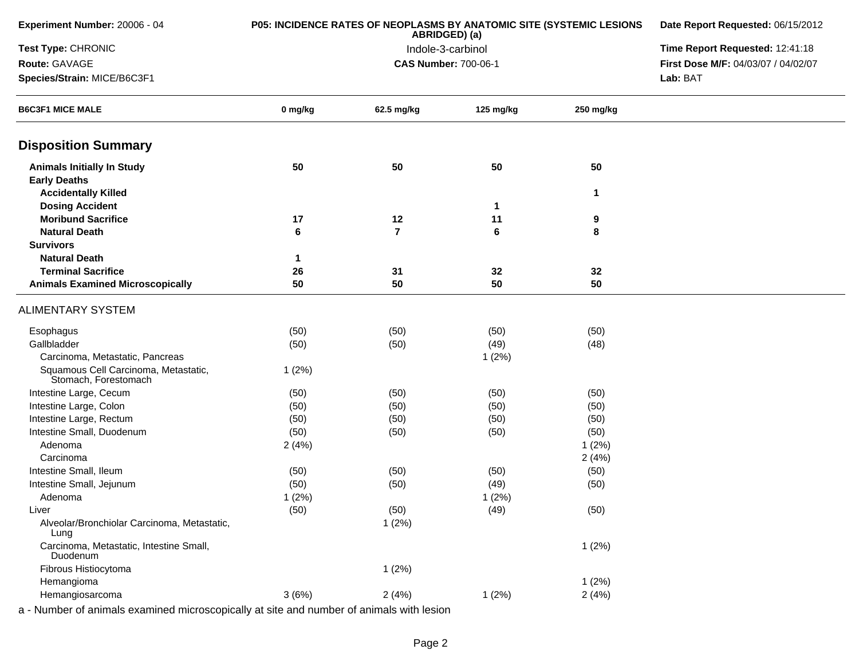| Experiment Number: 20006 - 04                                        | P05: INCIDENCE RATES OF NEOPLASMS BY ANATOMIC SITE (SYSTEMIC LESIONS | Date Report Requested: 06/15/2012<br>Time Report Requested: 12:41:18 |             |           |                                     |
|----------------------------------------------------------------------|----------------------------------------------------------------------|----------------------------------------------------------------------|-------------|-----------|-------------------------------------|
| Test Type: CHRONIC                                                   |                                                                      |                                                                      |             |           |                                     |
| Route: GAVAGE                                                        |                                                                      | <b>CAS Number: 700-06-1</b>                                          |             |           | First Dose M/F: 04/03/07 / 04/02/07 |
| Species/Strain: MICE/B6C3F1                                          |                                                                      |                                                                      |             |           | Lab: BAT                            |
| <b>B6C3F1 MICE MALE</b>                                              | 0 mg/kg                                                              | 62.5 mg/kg                                                           | 125 mg/kg   | 250 mg/kg |                                     |
| <b>Disposition Summary</b>                                           |                                                                      |                                                                      |             |           |                                     |
| <b>Animals Initially In Study</b><br><b>Early Deaths</b>             | 50                                                                   | 50                                                                   | 50          | 50        |                                     |
| <b>Accidentally Killed</b>                                           |                                                                      |                                                                      |             | 1         |                                     |
| <b>Dosing Accident</b>                                               |                                                                      |                                                                      | $\mathbf 1$ |           |                                     |
| <b>Moribund Sacrifice</b>                                            | 17                                                                   | 12                                                                   | 11          | 9         |                                     |
| <b>Natural Death</b>                                                 | 6                                                                    | $\overline{\mathbf{r}}$                                              | 6           | 8         |                                     |
| <b>Survivors</b>                                                     |                                                                      |                                                                      |             |           |                                     |
| <b>Natural Death</b>                                                 | 1                                                                    |                                                                      |             |           |                                     |
| <b>Terminal Sacrifice</b><br><b>Animals Examined Microscopically</b> | 26<br>50                                                             | 31<br>50                                                             | 32<br>50    | 32<br>50  |                                     |
|                                                                      |                                                                      |                                                                      |             |           |                                     |
| <b>ALIMENTARY SYSTEM</b>                                             |                                                                      |                                                                      |             |           |                                     |
| Esophagus                                                            | (50)                                                                 | (50)                                                                 | (50)        | (50)      |                                     |
| Gallbladder                                                          | (50)                                                                 | (50)                                                                 | (49)        | (48)      |                                     |
| Carcinoma, Metastatic, Pancreas                                      |                                                                      |                                                                      | 1(2%)       |           |                                     |
| Squamous Cell Carcinoma, Metastatic,<br>Stomach, Forestomach         | 1(2%)                                                                |                                                                      |             |           |                                     |
| Intestine Large, Cecum                                               | (50)                                                                 | (50)                                                                 | (50)        | (50)      |                                     |
| Intestine Large, Colon                                               | (50)                                                                 | (50)                                                                 | (50)        | (50)      |                                     |
| Intestine Large, Rectum                                              | (50)                                                                 | (50)                                                                 | (50)        | (50)      |                                     |
| Intestine Small, Duodenum                                            | (50)                                                                 | (50)                                                                 | (50)        | (50)      |                                     |
| Adenoma                                                              | 2(4%)                                                                |                                                                      |             | 1(2%)     |                                     |
| Carcinoma                                                            |                                                                      |                                                                      |             | 2(4%)     |                                     |
| Intestine Small, Ileum                                               | (50)                                                                 | (50)                                                                 | (50)        | (50)      |                                     |
| Intestine Small, Jejunum                                             | (50)                                                                 | (50)                                                                 | (49)        | (50)      |                                     |
| Adenoma                                                              | 1(2%)                                                                |                                                                      | 1(2%)       |           |                                     |
| Liver                                                                | (50)                                                                 | (50)                                                                 | (49)        | (50)      |                                     |
| Alveolar/Bronchiolar Carcinoma, Metastatic,<br>Lung                  |                                                                      | 1(2%)                                                                |             |           |                                     |
| Carcinoma, Metastatic, Intestine Small,<br>Duodenum                  |                                                                      |                                                                      |             | 1(2%)     |                                     |
| Fibrous Histiocytoma                                                 |                                                                      | 1(2%)                                                                |             |           |                                     |
| Hemangioma                                                           |                                                                      |                                                                      |             | 1(2%)     |                                     |
| Hemangiosarcoma                                                      | 3(6%)                                                                | 2(4%)                                                                | 1(2%)       | 2(4%)     |                                     |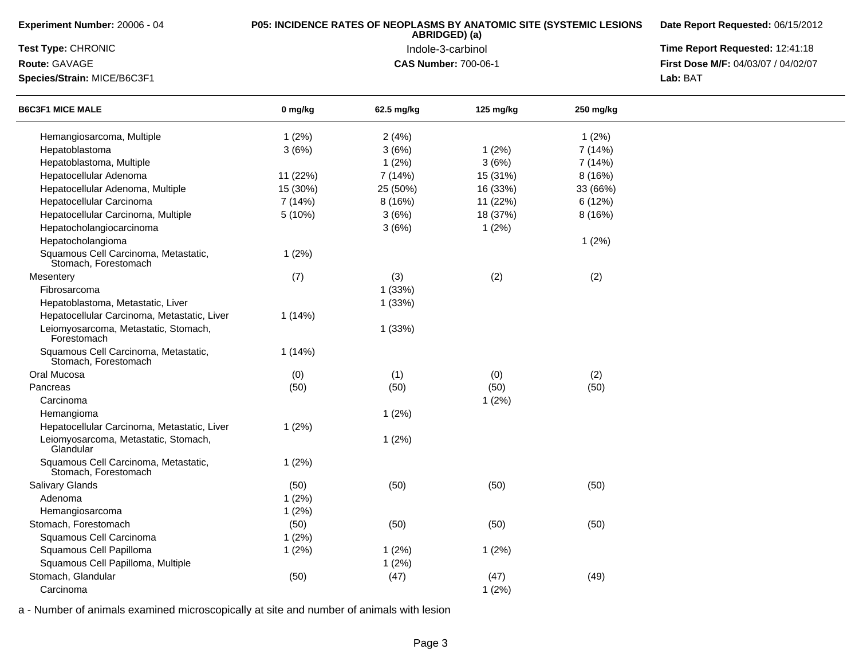| Experiment Number: 20006 - 04                                | <b>P05: INCIDENCE RATES OF NEOPLASMS BY ANATOMIC SITE (SYSTEMIC LESIONS</b> | Date Report Requested: 06/15/2012 |           |           |                                     |
|--------------------------------------------------------------|-----------------------------------------------------------------------------|-----------------------------------|-----------|-----------|-------------------------------------|
| Test Type: CHRONIC                                           |                                                                             | Time Report Requested: 12:41:18   |           |           |                                     |
| Route: GAVAGE                                                |                                                                             | <b>CAS Number: 700-06-1</b>       |           |           | First Dose M/F: 04/03/07 / 04/02/07 |
| Species/Strain: MICE/B6C3F1                                  |                                                                             |                                   |           |           | Lab: BAT                            |
| <b>B6C3F1 MICE MALE</b>                                      | 0 mg/kg                                                                     | 62.5 mg/kg                        | 125 mg/kg | 250 mg/kg |                                     |
| Hemangiosarcoma, Multiple                                    | 1(2%)                                                                       | 2(4%)                             |           | 1(2%)     |                                     |
| Hepatoblastoma                                               | 3(6%)                                                                       | 3(6%)                             | 1(2%)     | 7 (14%)   |                                     |
| Hepatoblastoma, Multiple                                     |                                                                             | 1(2%)                             | 3(6%)     | 7 (14%)   |                                     |
| Hepatocellular Adenoma                                       | 11 (22%)                                                                    | 7 (14%)                           | 15 (31%)  | 8(16%)    |                                     |
| Hepatocellular Adenoma, Multiple                             | 15 (30%)                                                                    | 25 (50%)                          | 16 (33%)  | 33 (66%)  |                                     |
| Hepatocellular Carcinoma                                     | 7 (14%)                                                                     | 8(16%)                            | 11 (22%)  | 6 (12%)   |                                     |
| Hepatocellular Carcinoma, Multiple                           | 5(10%)                                                                      | 3(6%)                             | 18 (37%)  | 8(16%)    |                                     |
| Hepatocholangiocarcinoma                                     |                                                                             | 3(6%)                             | 1(2%)     |           |                                     |
| Hepatocholangioma                                            |                                                                             |                                   |           | 1(2%)     |                                     |
| Squamous Cell Carcinoma, Metastatic,<br>Stomach, Forestomach | 1(2%)                                                                       |                                   |           |           |                                     |
| Mesentery                                                    | (7)                                                                         | (3)                               | (2)       | (2)       |                                     |
| Fibrosarcoma                                                 |                                                                             | 1(33%)                            |           |           |                                     |
| Hepatoblastoma, Metastatic, Liver                            |                                                                             | 1(33%)                            |           |           |                                     |
| Hepatocellular Carcinoma, Metastatic, Liver                  | 1 (14%)                                                                     |                                   |           |           |                                     |
| Leiomyosarcoma, Metastatic, Stomach,<br>Forestomach          |                                                                             | 1(33%)                            |           |           |                                     |
| Squamous Cell Carcinoma, Metastatic,<br>Stomach, Forestomach | 1(14%)                                                                      |                                   |           |           |                                     |
| Oral Mucosa                                                  | (0)                                                                         | (1)                               | (0)       | (2)       |                                     |
| Pancreas                                                     | (50)                                                                        | (50)                              | (50)      | (50)      |                                     |
| Carcinoma                                                    |                                                                             |                                   | 1(2%)     |           |                                     |
| Hemangioma                                                   |                                                                             | 1(2%)                             |           |           |                                     |
| Hepatocellular Carcinoma, Metastatic, Liver                  | 1(2%)                                                                       |                                   |           |           |                                     |
| Leiomyosarcoma, Metastatic, Stomach,<br>Glandular            |                                                                             | 1(2%)                             |           |           |                                     |
| Squamous Cell Carcinoma, Metastatic,<br>Stomach, Forestomach | 1(2%)                                                                       |                                   |           |           |                                     |
| Salivary Glands                                              | (50)                                                                        | (50)                              | (50)      | (50)      |                                     |
| Adenoma                                                      | 1(2%)                                                                       |                                   |           |           |                                     |
| Hemangiosarcoma                                              | 1(2%)                                                                       |                                   |           |           |                                     |
| Stomach, Forestomach                                         | (50)                                                                        | (50)                              | (50)      | (50)      |                                     |
| Squamous Cell Carcinoma                                      | 1(2%)                                                                       |                                   |           |           |                                     |
| Squamous Cell Papilloma                                      | 1(2%)                                                                       | 1(2%)                             | 1(2%)     |           |                                     |
| Squamous Cell Papilloma, Multiple                            |                                                                             | 1(2%)                             |           |           |                                     |
| Stomach, Glandular                                           | (50)                                                                        | (47)                              | (47)      | (49)      |                                     |
| Carcinoma                                                    |                                                                             |                                   | 1(2%)     |           |                                     |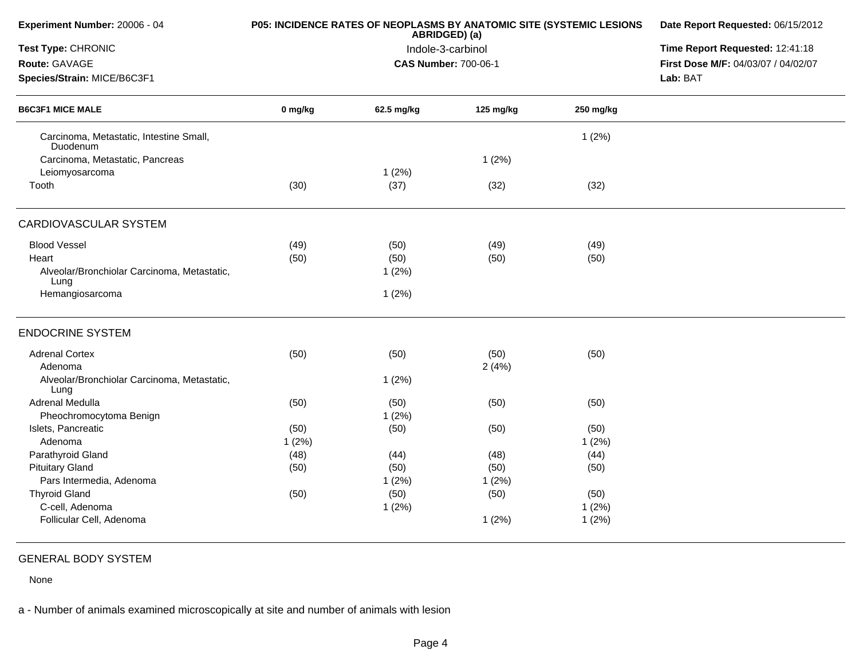| Experiment Number: 20006 - 04                       |         | P05: INCIDENCE RATES OF NEOPLASMS BY ANATOMIC SITE (SYSTEMIC LESIONS<br>ABRIDGED) (a) | Date Report Requested: 06/15/2012<br>Time Report Requested: 12:41:18 |           |                                     |
|-----------------------------------------------------|---------|---------------------------------------------------------------------------------------|----------------------------------------------------------------------|-----------|-------------------------------------|
| Test Type: CHRONIC                                  |         | Indole-3-carbinol                                                                     |                                                                      |           |                                     |
| Route: GAVAGE                                       |         |                                                                                       | <b>CAS Number: 700-06-1</b>                                          |           | First Dose M/F: 04/03/07 / 04/02/07 |
| Species/Strain: MICE/B6C3F1                         |         |                                                                                       |                                                                      |           | Lab: BAT                            |
| <b>B6C3F1 MICE MALE</b>                             | 0 mg/kg | 62.5 mg/kg                                                                            | 125 mg/kg                                                            | 250 mg/kg |                                     |
| Carcinoma, Metastatic, Intestine Small,<br>Duodenum |         |                                                                                       |                                                                      | 1(2%)     |                                     |
| Carcinoma, Metastatic, Pancreas                     |         |                                                                                       | 1(2%)                                                                |           |                                     |
| Leiomyosarcoma                                      |         | 1(2%)                                                                                 |                                                                      |           |                                     |
| Tooth                                               | (30)    | (37)                                                                                  | (32)                                                                 | (32)      |                                     |
| CARDIOVASCULAR SYSTEM                               |         |                                                                                       |                                                                      |           |                                     |
| <b>Blood Vessel</b>                                 | (49)    | (50)                                                                                  | (49)                                                                 | (49)      |                                     |
| Heart                                               | (50)    | (50)                                                                                  | (50)                                                                 | (50)      |                                     |
| Alveolar/Bronchiolar Carcinoma, Metastatic,<br>Lung |         | 1(2%)                                                                                 |                                                                      |           |                                     |
| Hemangiosarcoma                                     |         | 1(2%)                                                                                 |                                                                      |           |                                     |
| <b>ENDOCRINE SYSTEM</b>                             |         |                                                                                       |                                                                      |           |                                     |
| <b>Adrenal Cortex</b>                               | (50)    | (50)                                                                                  | (50)                                                                 | (50)      |                                     |
| Adenoma                                             |         |                                                                                       | 2(4%)                                                                |           |                                     |
| Alveolar/Bronchiolar Carcinoma, Metastatic,<br>Lung |         | 1(2%)                                                                                 |                                                                      |           |                                     |
| Adrenal Medulla                                     | (50)    | (50)                                                                                  | (50)                                                                 | (50)      |                                     |
| Pheochromocytoma Benign                             |         | 1(2%)                                                                                 |                                                                      |           |                                     |
| Islets, Pancreatic                                  | (50)    | (50)                                                                                  | (50)                                                                 | (50)      |                                     |
| Adenoma                                             | 1(2%)   |                                                                                       |                                                                      | 1(2%)     |                                     |
| Parathyroid Gland                                   | (48)    | (44)                                                                                  | (48)                                                                 | (44)      |                                     |
| <b>Pituitary Gland</b>                              | (50)    | (50)                                                                                  | (50)                                                                 | (50)      |                                     |
| Pars Intermedia, Adenoma                            |         | 1(2%)                                                                                 | 1(2%)                                                                |           |                                     |
| <b>Thyroid Gland</b>                                | (50)    | (50)                                                                                  | (50)                                                                 | (50)      |                                     |
| C-cell, Adenoma                                     |         | 1(2%)                                                                                 |                                                                      | 1(2%)     |                                     |
| Follicular Cell, Adenoma                            |         |                                                                                       | 1(2%)                                                                | 1(2%)     |                                     |
|                                                     |         |                                                                                       |                                                                      |           |                                     |

## GENERAL BODY SYSTEM

None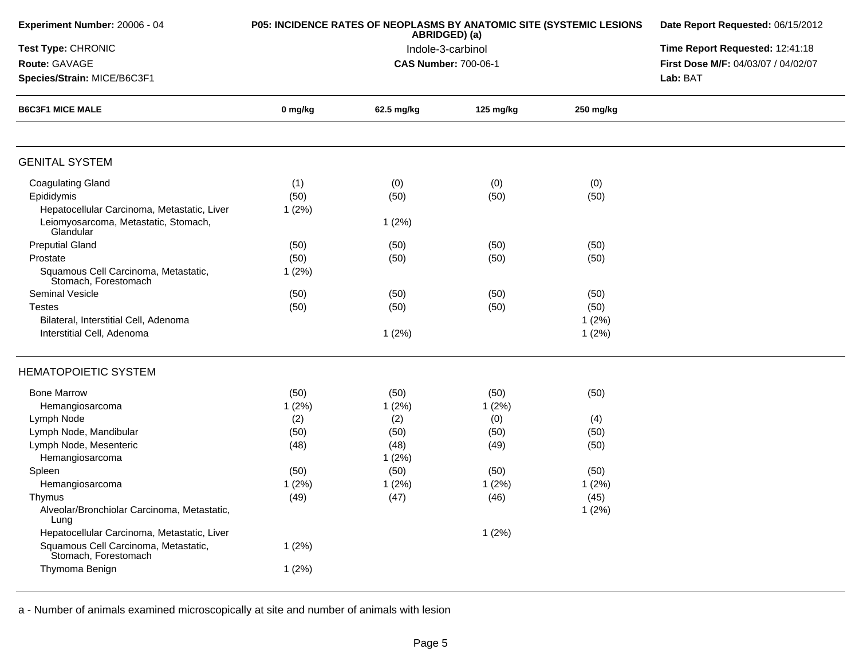| Experiment Number: 20006 - 04                                | <b>P05: INCIDENCE RATES OF NEOPLASMS BY ANATOMIC SITE (SYSTEMIC LESIONS</b> | Date Report Requested: 06/15/2012 |                             |           |                                     |
|--------------------------------------------------------------|-----------------------------------------------------------------------------|-----------------------------------|-----------------------------|-----------|-------------------------------------|
| Test Type: CHRONIC                                           |                                                                             |                                   | Indole-3-carbinol           |           | Time Report Requested: 12:41:18     |
| Route: GAVAGE                                                |                                                                             |                                   | <b>CAS Number: 700-06-1</b> |           | First Dose M/F: 04/03/07 / 04/02/07 |
| Species/Strain: MICE/B6C3F1                                  |                                                                             |                                   |                             |           | Lab: BAT                            |
| <b>B6C3F1 MICE MALE</b>                                      | 0 mg/kg                                                                     | 62.5 mg/kg                        | 125 mg/kg                   | 250 mg/kg |                                     |
| <b>GENITAL SYSTEM</b>                                        |                                                                             |                                   |                             |           |                                     |
| <b>Coagulating Gland</b>                                     | (1)                                                                         | (0)                               | (0)                         | (0)       |                                     |
| Epididymis                                                   | (50)                                                                        | (50)                              | (50)                        | (50)      |                                     |
| Hepatocellular Carcinoma, Metastatic, Liver                  | 1(2%)                                                                       |                                   |                             |           |                                     |
| Leiomyosarcoma, Metastatic, Stomach,<br>Glandular            |                                                                             | 1(2%)                             |                             |           |                                     |
| <b>Preputial Gland</b>                                       | (50)                                                                        | (50)                              | (50)                        | (50)      |                                     |
| Prostate                                                     | (50)                                                                        | (50)                              | (50)                        | (50)      |                                     |
| Squamous Cell Carcinoma, Metastatic,<br>Stomach, Forestomach | 1(2%)                                                                       |                                   |                             |           |                                     |
| <b>Seminal Vesicle</b>                                       | (50)                                                                        | (50)                              | (50)                        | (50)      |                                     |
| <b>Testes</b>                                                | (50)                                                                        | (50)                              | (50)                        | (50)      |                                     |
| Bilateral, Interstitial Cell, Adenoma                        |                                                                             |                                   |                             | 1(2%)     |                                     |
| Interstitial Cell, Adenoma                                   |                                                                             | 1(2%)                             |                             | 1(2%)     |                                     |
| <b>HEMATOPOIETIC SYSTEM</b>                                  |                                                                             |                                   |                             |           |                                     |
| <b>Bone Marrow</b>                                           | (50)                                                                        | (50)                              | (50)                        | (50)      |                                     |
| Hemangiosarcoma                                              | 1(2%)                                                                       | 1(2%)                             | 1(2%)                       |           |                                     |
| Lymph Node                                                   | (2)                                                                         | (2)                               | (0)                         | (4)       |                                     |
| Lymph Node, Mandibular                                       | (50)                                                                        | (50)                              | (50)                        | (50)      |                                     |
| Lymph Node, Mesenteric                                       | (48)                                                                        | (48)                              | (49)                        | (50)      |                                     |
| Hemangiosarcoma                                              |                                                                             | 1(2%)                             |                             |           |                                     |
| Spleen                                                       | (50)                                                                        | (50)                              | (50)                        | (50)      |                                     |
| Hemangiosarcoma                                              | 1(2%)                                                                       | 1(2%)                             | 1(2%)                       | 1(2%)     |                                     |
| Thymus                                                       | (49)                                                                        | (47)                              | (46)                        | (45)      |                                     |
| Alveolar/Bronchiolar Carcinoma, Metastatic,<br>Lung          |                                                                             |                                   |                             | 1(2%)     |                                     |
| Hepatocellular Carcinoma, Metastatic, Liver                  |                                                                             |                                   | 1(2%)                       |           |                                     |
| Squamous Cell Carcinoma, Metastatic,<br>Stomach, Forestomach | 1(2%)                                                                       |                                   |                             |           |                                     |
| Thymoma Benign                                               | 1(2%)                                                                       |                                   |                             |           |                                     |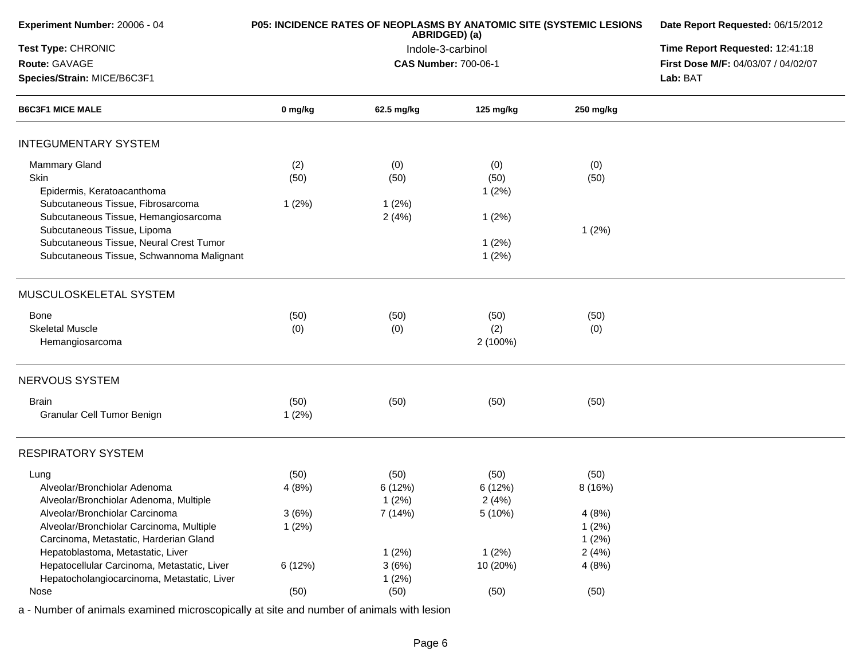| Experiment Number: 20006 - 04               | P05: INCIDENCE RATES OF NEOPLASMS BY ANATOMIC SITE (SYSTEMIC LESIONS | Date Report Requested: 06/15/2012  |                                 |           |                                     |
|---------------------------------------------|----------------------------------------------------------------------|------------------------------------|---------------------------------|-----------|-------------------------------------|
| Test Type: CHRONIC                          |                                                                      | ABRIDGED) (a)<br>Indole-3-carbinol | Time Report Requested: 12:41:18 |           |                                     |
| Route: GAVAGE                               |                                                                      | <b>CAS Number: 700-06-1</b>        |                                 |           | First Dose M/F: 04/03/07 / 04/02/07 |
| Species/Strain: MICE/B6C3F1                 |                                                                      |                                    |                                 |           | Lab: BAT                            |
| <b>B6C3F1 MICE MALE</b>                     | 0 mg/kg                                                              | 62.5 mg/kg                         | 125 mg/kg                       | 250 mg/kg |                                     |
| <b>INTEGUMENTARY SYSTEM</b>                 |                                                                      |                                    |                                 |           |                                     |
| <b>Mammary Gland</b>                        | (2)                                                                  | (0)                                | (0)                             | (0)       |                                     |
| Skin                                        | (50)                                                                 | (50)                               | (50)                            | (50)      |                                     |
| Epidermis, Keratoacanthoma                  |                                                                      |                                    | 1(2%)                           |           |                                     |
| Subcutaneous Tissue, Fibrosarcoma           | 1(2%)                                                                | 1(2%)                              |                                 |           |                                     |
| Subcutaneous Tissue, Hemangiosarcoma        |                                                                      | 2(4%)                              | 1(2%)                           |           |                                     |
| Subcutaneous Tissue, Lipoma                 |                                                                      |                                    |                                 | 1(2%)     |                                     |
| Subcutaneous Tissue, Neural Crest Tumor     |                                                                      |                                    | 1(2%)                           |           |                                     |
| Subcutaneous Tissue, Schwannoma Malignant   |                                                                      |                                    | 1(2%)                           |           |                                     |
| MUSCULOSKELETAL SYSTEM                      |                                                                      |                                    |                                 |           |                                     |
| <b>Bone</b>                                 | (50)                                                                 | (50)                               | (50)                            | (50)      |                                     |
| <b>Skeletal Muscle</b>                      | (0)                                                                  | (0)                                | (2)                             | (0)       |                                     |
| Hemangiosarcoma                             |                                                                      |                                    | 2 (100%)                        |           |                                     |
| NERVOUS SYSTEM                              |                                                                      |                                    |                                 |           |                                     |
| <b>Brain</b>                                | (50)                                                                 | (50)                               | (50)                            | (50)      |                                     |
| Granular Cell Tumor Benign                  | 1(2%)                                                                |                                    |                                 |           |                                     |
| <b>RESPIRATORY SYSTEM</b>                   |                                                                      |                                    |                                 |           |                                     |
| Lung                                        | (50)                                                                 | (50)                               | (50)                            | (50)      |                                     |
| Alveolar/Bronchiolar Adenoma                | 4(8%)                                                                | 6 (12%)                            | 6(12%)                          | 8 (16%)   |                                     |
| Alveolar/Bronchiolar Adenoma, Multiple      |                                                                      | 1(2%)                              | 2(4%)                           |           |                                     |
| Alveolar/Bronchiolar Carcinoma              | 3(6%)                                                                | 7 (14%)                            | 5 (10%)                         | 4(8%)     |                                     |
| Alveolar/Bronchiolar Carcinoma, Multiple    | 1(2%)                                                                |                                    |                                 | 1(2%)     |                                     |
| Carcinoma, Metastatic, Harderian Gland      |                                                                      |                                    |                                 | 1(2%)     |                                     |
| Hepatoblastoma, Metastatic, Liver           |                                                                      | 1(2%)                              | 1(2%)                           | 2(4%)     |                                     |
| Hepatocellular Carcinoma, Metastatic, Liver | 6(12%)                                                               | 3(6%)                              | 10 (20%)                        | 4(8%)     |                                     |
| Hepatocholangiocarcinoma, Metastatic, Liver |                                                                      | 1(2%)                              |                                 |           |                                     |
| Nose                                        | (50)                                                                 | (50)                               | (50)                            | (50)      |                                     |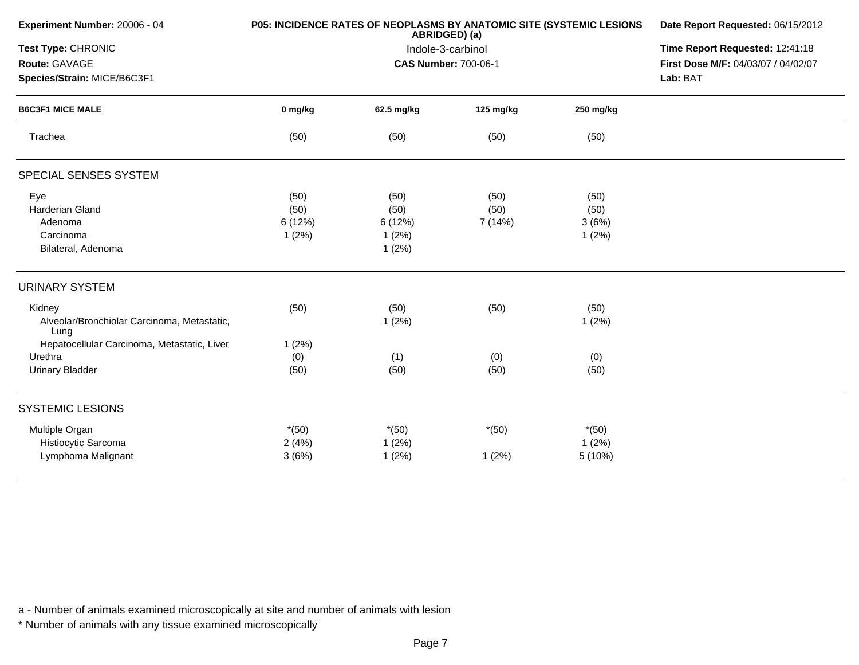| Experiment Number: 20006 - 04                       |         | <b>P05: INCIDENCE RATES OF NEOPLASMS BY ANATOMIC SITE (SYSTEMIC LESIONS</b><br>ABRIDGED) (a) | Date Report Requested: 06/15/2012 |           |                                     |
|-----------------------------------------------------|---------|----------------------------------------------------------------------------------------------|-----------------------------------|-----------|-------------------------------------|
| Test Type: CHRONIC                                  |         | Indole-3-carbinol                                                                            | Time Report Requested: 12:41:18   |           |                                     |
| Route: GAVAGE                                       |         |                                                                                              | <b>CAS Number: 700-06-1</b>       |           | First Dose M/F: 04/03/07 / 04/02/07 |
| Species/Strain: MICE/B6C3F1                         |         |                                                                                              |                                   |           | Lab: BAT                            |
| <b>B6C3F1 MICE MALE</b>                             | 0 mg/kg | 62.5 mg/kg                                                                                   | 125 mg/kg                         | 250 mg/kg |                                     |
| Trachea                                             | (50)    | (50)                                                                                         | (50)                              | (50)      |                                     |
| SPECIAL SENSES SYSTEM                               |         |                                                                                              |                                   |           |                                     |
| Eye                                                 | (50)    | (50)                                                                                         | (50)                              | (50)      |                                     |
| Harderian Gland                                     | (50)    | (50)                                                                                         | (50)                              | (50)      |                                     |
| Adenoma                                             | 6(12%)  | 6 (12%)                                                                                      | 7 (14%)                           | 3(6%)     |                                     |
| Carcinoma                                           | 1(2%)   | 1(2%)                                                                                        |                                   | 1(2%)     |                                     |
| Bilateral, Adenoma                                  |         | 1(2%)                                                                                        |                                   |           |                                     |
| <b>URINARY SYSTEM</b>                               |         |                                                                                              |                                   |           |                                     |
| Kidney                                              | (50)    | (50)                                                                                         | (50)                              | (50)      |                                     |
| Alveolar/Bronchiolar Carcinoma, Metastatic,<br>Lung |         | 1(2%)                                                                                        |                                   | 1(2%)     |                                     |
| Hepatocellular Carcinoma, Metastatic, Liver         | 1(2%)   |                                                                                              |                                   |           |                                     |
| Urethra                                             | (0)     | (1)                                                                                          | (0)                               | (0)       |                                     |
| <b>Urinary Bladder</b>                              | (50)    | (50)                                                                                         | (50)                              | (50)      |                                     |
| <b>SYSTEMIC LESIONS</b>                             |         |                                                                                              |                                   |           |                                     |
| Multiple Organ                                      | $*(50)$ | $*(50)$                                                                                      | $*(50)$                           | $*(50)$   |                                     |
| Histiocytic Sarcoma                                 | 2(4%)   | 1(2%)                                                                                        |                                   | 1(2%)     |                                     |
| Lymphoma Malignant                                  | 3(6%)   | 1(2%)                                                                                        | 1(2%)                             | 5(10%)    |                                     |
|                                                     |         |                                                                                              |                                   |           |                                     |

\* Number of animals with any tissue examined microscopically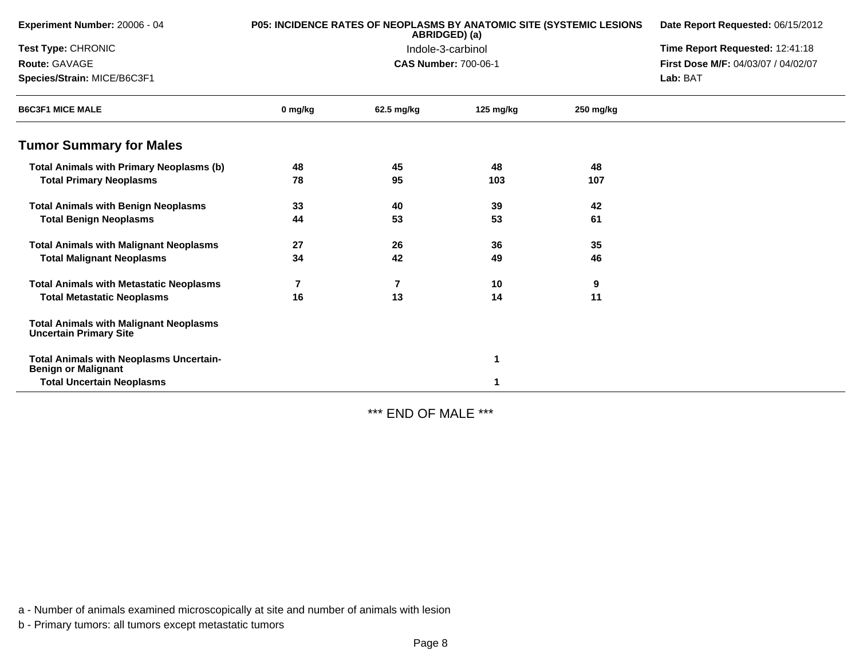| Experiment Number: 20006 - 04                                                  |                | P05: INCIDENCE RATES OF NEOPLASMS BY ANATOMIC SITE (SYSTEMIC LESIONS<br>ABRIDGED) (a) | Date Report Requested: 06/15/2012 |           |                                     |
|--------------------------------------------------------------------------------|----------------|---------------------------------------------------------------------------------------|-----------------------------------|-----------|-------------------------------------|
| Test Type: CHRONIC                                                             |                |                                                                                       | Indole-3-carbinol                 |           | Time Report Requested: 12:41:18     |
| Route: GAVAGE                                                                  |                | <b>CAS Number: 700-06-1</b>                                                           |                                   |           | First Dose M/F: 04/03/07 / 04/02/07 |
| Species/Strain: MICE/B6C3F1                                                    |                |                                                                                       |                                   |           | Lab: BAT                            |
| <b>B6C3F1 MICE MALE</b>                                                        | 0 mg/kg        | 62.5 mg/kg                                                                            | 125 mg/kg                         | 250 mg/kg |                                     |
| <b>Tumor Summary for Males</b>                                                 |                |                                                                                       |                                   |           |                                     |
| <b>Total Animals with Primary Neoplasms (b)</b>                                | 48             | 45                                                                                    | 48                                | 48        |                                     |
| <b>Total Primary Neoplasms</b>                                                 | 78             | 95                                                                                    | 103                               | 107       |                                     |
| <b>Total Animals with Benign Neoplasms</b>                                     | 33             | 40                                                                                    | 39                                | 42        |                                     |
| <b>Total Benign Neoplasms</b>                                                  | 44             | 53                                                                                    | 53                                | 61        |                                     |
| <b>Total Animals with Malignant Neoplasms</b>                                  | 27             | 26                                                                                    | 36                                | 35        |                                     |
| <b>Total Malignant Neoplasms</b>                                               | 34             | 42                                                                                    | 49                                | 46        |                                     |
| <b>Total Animals with Metastatic Neoplasms</b>                                 | $\overline{7}$ | 7                                                                                     | 10                                | 9         |                                     |
| <b>Total Metastatic Neoplasms</b>                                              | 16             | 13                                                                                    | 14                                | 11        |                                     |
| <b>Total Animals with Malignant Neoplasms</b><br><b>Uncertain Primary Site</b> |                |                                                                                       |                                   |           |                                     |
| <b>Total Animals with Neoplasms Uncertain-</b><br><b>Benign or Malignant</b>   |                |                                                                                       |                                   |           |                                     |
| <b>Total Uncertain Neoplasms</b>                                               |                |                                                                                       |                                   |           |                                     |

\*\*\* END OF MALE \*\*\*

a - Number of animals examined microscopically at site and number of animals with lesion

b - Primary tumors: all tumors except metastatic tumors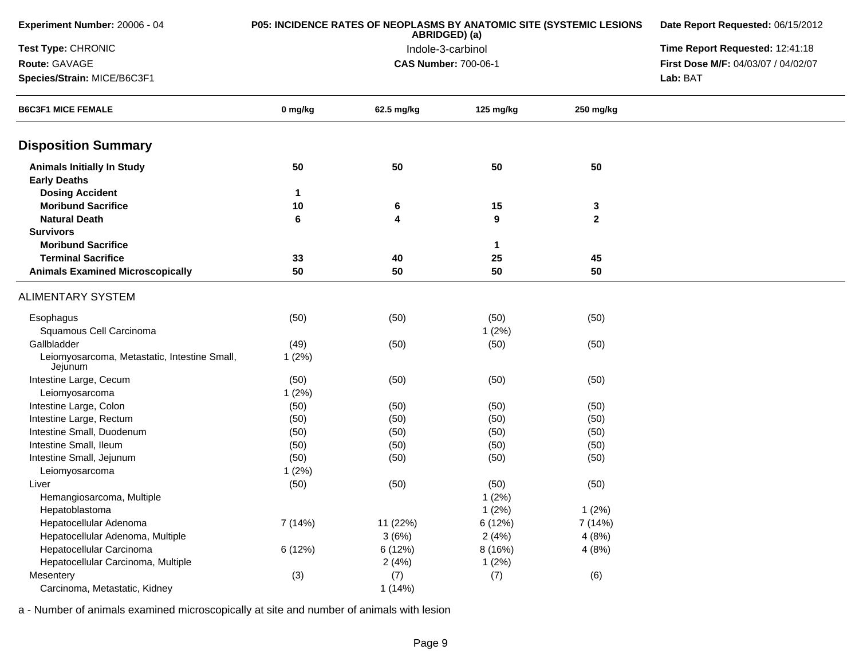| Experiment Number: 20006 - 04                           | P05: INCIDENCE RATES OF NEOPLASMS BY ANATOMIC SITE (SYSTEMIC LESIONS | Date Report Requested: 06/15/2012 |                                 |              |                                     |
|---------------------------------------------------------|----------------------------------------------------------------------|-----------------------------------|---------------------------------|--------------|-------------------------------------|
| Test Type: CHRONIC                                      |                                                                      | Indole-3-carbinol                 | Time Report Requested: 12:41:18 |              |                                     |
| Route: GAVAGE                                           |                                                                      | <b>CAS Number: 700-06-1</b>       |                                 |              | First Dose M/F: 04/03/07 / 04/02/07 |
| Species/Strain: MICE/B6C3F1                             |                                                                      |                                   |                                 |              | Lab: BAT                            |
| <b>B6C3F1 MICE FEMALE</b>                               | 0 mg/kg                                                              | 62.5 mg/kg                        | 125 mg/kg                       | 250 mg/kg    |                                     |
| <b>Disposition Summary</b>                              |                                                                      |                                   |                                 |              |                                     |
| <b>Animals Initially In Study</b>                       | 50                                                                   | 50                                | 50                              | 50           |                                     |
| <b>Early Deaths</b>                                     |                                                                      |                                   |                                 |              |                                     |
| <b>Dosing Accident</b>                                  | 1                                                                    |                                   |                                 |              |                                     |
| <b>Moribund Sacrifice</b>                               | 10                                                                   | 6                                 | 15                              | 3            |                                     |
| <b>Natural Death</b>                                    | 6                                                                    | 4                                 | 9                               | $\mathbf{2}$ |                                     |
| <b>Survivors</b>                                        |                                                                      |                                   |                                 |              |                                     |
| <b>Moribund Sacrifice</b>                               |                                                                      |                                   | $\mathbf 1$                     |              |                                     |
| <b>Terminal Sacrifice</b>                               | 33                                                                   | 40                                | 25                              | 45           |                                     |
| <b>Animals Examined Microscopically</b>                 | 50                                                                   | 50                                | 50                              | 50           |                                     |
| <b>ALIMENTARY SYSTEM</b>                                |                                                                      |                                   |                                 |              |                                     |
| Esophagus                                               | (50)                                                                 | (50)                              | (50)                            | (50)         |                                     |
| Squamous Cell Carcinoma                                 |                                                                      |                                   | 1(2%)                           |              |                                     |
| Gallbladder                                             | (49)                                                                 | (50)                              | (50)                            | (50)         |                                     |
| Leiomyosarcoma, Metastatic, Intestine Small,<br>Jejunum | 1(2%)                                                                |                                   |                                 |              |                                     |
| Intestine Large, Cecum                                  | (50)                                                                 | (50)                              | (50)                            | (50)         |                                     |
| Leiomyosarcoma                                          | 1(2%)                                                                |                                   |                                 |              |                                     |
| Intestine Large, Colon                                  | (50)                                                                 | (50)                              | (50)                            | (50)         |                                     |
| Intestine Large, Rectum                                 | (50)                                                                 | (50)                              | (50)                            | (50)         |                                     |
| Intestine Small, Duodenum                               | (50)                                                                 | (50)                              | (50)                            | (50)         |                                     |
| Intestine Small, Ileum                                  | (50)                                                                 | (50)                              | (50)                            | (50)         |                                     |
| Intestine Small, Jejunum                                | (50)                                                                 | (50)                              | (50)                            | (50)         |                                     |
| Leiomyosarcoma                                          | 1(2%)                                                                |                                   |                                 |              |                                     |
| Liver                                                   | (50)                                                                 | (50)                              | (50)                            | (50)         |                                     |
| Hemangiosarcoma, Multiple                               |                                                                      |                                   | 1(2%)                           |              |                                     |
| Hepatoblastoma                                          |                                                                      |                                   | 1(2%)                           | 1(2%)        |                                     |
| Hepatocellular Adenoma                                  | 7 (14%)                                                              | 11 (22%)                          | 6 (12%)                         | 7 (14%)      |                                     |
| Hepatocellular Adenoma, Multiple                        |                                                                      | 3(6%)                             | 2(4%)                           | 4(8%)        |                                     |
| Hepatocellular Carcinoma                                | 6 (12%)                                                              | 6(12%)                            | 8(16%)                          | 4(8%)        |                                     |
| Hepatocellular Carcinoma, Multiple                      |                                                                      | 2(4%)                             | 1(2%)                           |              |                                     |
| Mesentery                                               | (3)                                                                  | (7)                               | (7)                             | (6)          |                                     |
| Carcinoma, Metastatic, Kidney                           |                                                                      | 1(14%)                            |                                 |              |                                     |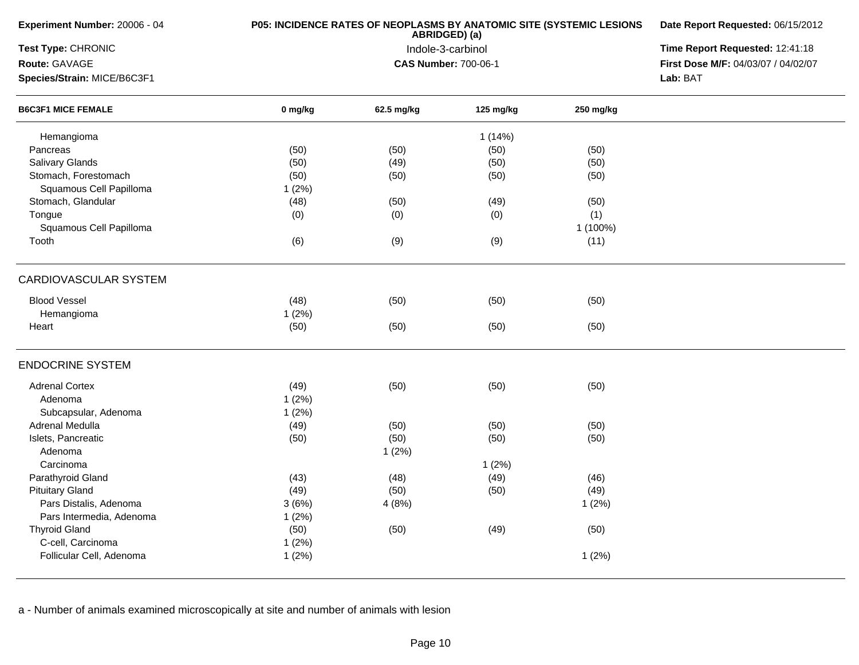| Experiment Number: 20006 - 04 | P05: INCIDENCE RATES OF NEOPLASMS BY ANATOMIC SITE (SYSTEMIC LESIONS | Date Report Requested: 06/15/2012<br>Time Report Requested: 12:41:18 |           |           |                                     |
|-------------------------------|----------------------------------------------------------------------|----------------------------------------------------------------------|-----------|-----------|-------------------------------------|
| Test Type: CHRONIC            |                                                                      |                                                                      |           |           |                                     |
| Route: GAVAGE                 |                                                                      | <b>CAS Number: 700-06-1</b>                                          |           |           | First Dose M/F: 04/03/07 / 04/02/07 |
| Species/Strain: MICE/B6C3F1   |                                                                      |                                                                      |           |           | Lab: BAT                            |
| <b>B6C3F1 MICE FEMALE</b>     | 0 mg/kg                                                              | 62.5 mg/kg                                                           | 125 mg/kg | 250 mg/kg |                                     |
| Hemangioma                    |                                                                      |                                                                      | 1(14%)    |           |                                     |
| Pancreas                      | (50)                                                                 | (50)                                                                 | (50)      | (50)      |                                     |
| <b>Salivary Glands</b>        | (50)                                                                 | (49)                                                                 | (50)      | (50)      |                                     |
| Stomach, Forestomach          | (50)                                                                 | (50)                                                                 | (50)      | (50)      |                                     |
| Squamous Cell Papilloma       | 1(2%)                                                                |                                                                      |           |           |                                     |
| Stomach, Glandular            | (48)                                                                 | (50)                                                                 | (49)      | (50)      |                                     |
| Tongue                        | (0)                                                                  | (0)                                                                  | (0)       | (1)       |                                     |
| Squamous Cell Papilloma       |                                                                      |                                                                      |           | 1 (100%)  |                                     |
| Tooth                         | (6)                                                                  | (9)                                                                  | (9)       | (11)      |                                     |
|                               |                                                                      |                                                                      |           |           |                                     |
| <b>CARDIOVASCULAR SYSTEM</b>  |                                                                      |                                                                      |           |           |                                     |
| <b>Blood Vessel</b>           | (48)                                                                 | (50)                                                                 | (50)      | (50)      |                                     |
| Hemangioma                    | 1(2%)                                                                |                                                                      |           |           |                                     |
| Heart                         | (50)                                                                 | (50)                                                                 | (50)      | (50)      |                                     |
| <b>ENDOCRINE SYSTEM</b>       |                                                                      |                                                                      |           |           |                                     |
| <b>Adrenal Cortex</b>         | (49)                                                                 | (50)                                                                 | (50)      | (50)      |                                     |
| Adenoma                       | 1(2%)                                                                |                                                                      |           |           |                                     |
| Subcapsular, Adenoma          | 1(2%)                                                                |                                                                      |           |           |                                     |
| Adrenal Medulla               | (49)                                                                 | (50)                                                                 | (50)      | (50)      |                                     |
| Islets, Pancreatic            | (50)                                                                 | (50)                                                                 | (50)      | (50)      |                                     |
| Adenoma                       |                                                                      | 1(2%)                                                                |           |           |                                     |
| Carcinoma                     |                                                                      |                                                                      | 1(2%)     |           |                                     |
| Parathyroid Gland             | (43)                                                                 | (48)                                                                 | (49)      | (46)      |                                     |
| <b>Pituitary Gland</b>        | (49)                                                                 | (50)                                                                 | (50)      | (49)      |                                     |
| Pars Distalis, Adenoma        | 3(6%)                                                                | 4(8%)                                                                |           | 1(2%)     |                                     |
| Pars Intermedia, Adenoma      | 1(2%)                                                                |                                                                      |           |           |                                     |
| <b>Thyroid Gland</b>          | (50)                                                                 |                                                                      | (49)      |           |                                     |
|                               |                                                                      | (50)                                                                 |           | (50)      |                                     |
| C-cell, Carcinoma             | 1(2%)                                                                |                                                                      |           |           |                                     |
| Follicular Cell, Adenoma      | 1(2%)                                                                |                                                                      |           | 1(2%)     |                                     |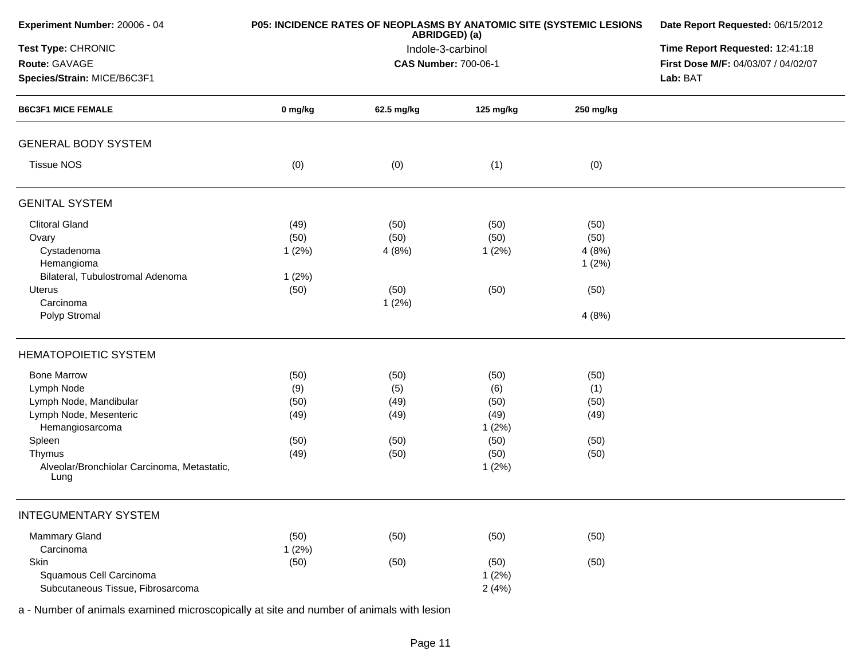| Experiment Number: 20006 - 04                       |         | P05: INCIDENCE RATES OF NEOPLASMS BY ANATOMIC SITE (SYSTEMIC LESIONS<br>ABRIDGED) (a) | Date Report Requested: 06/15/2012 |           |                                     |
|-----------------------------------------------------|---------|---------------------------------------------------------------------------------------|-----------------------------------|-----------|-------------------------------------|
| Test Type: CHRONIC                                  |         | Indole-3-carbinol                                                                     | Time Report Requested: 12:41:18   |           |                                     |
| Route: GAVAGE                                       |         | <b>CAS Number: 700-06-1</b>                                                           |                                   |           | First Dose M/F: 04/03/07 / 04/02/07 |
| Species/Strain: MICE/B6C3F1                         |         |                                                                                       |                                   |           | Lab: BAT                            |
| <b>B6C3F1 MICE FEMALE</b>                           | 0 mg/kg | 62.5 mg/kg                                                                            | 125 mg/kg                         | 250 mg/kg |                                     |
| <b>GENERAL BODY SYSTEM</b>                          |         |                                                                                       |                                   |           |                                     |
| <b>Tissue NOS</b>                                   | (0)     | (0)                                                                                   | (1)                               | (0)       |                                     |
| <b>GENITAL SYSTEM</b>                               |         |                                                                                       |                                   |           |                                     |
| <b>Clitoral Gland</b>                               | (49)    | (50)                                                                                  | (50)                              | (50)      |                                     |
| Ovary                                               | (50)    | (50)                                                                                  | (50)                              | (50)      |                                     |
| Cystadenoma                                         | 1(2%)   | 4(8%)                                                                                 | 1(2%)                             | 4(8%)     |                                     |
| Hemangioma                                          |         |                                                                                       |                                   | 1(2%)     |                                     |
| Bilateral, Tubulostromal Adenoma                    | 1(2%)   |                                                                                       |                                   |           |                                     |
| <b>Uterus</b>                                       | (50)    | (50)                                                                                  | (50)                              | (50)      |                                     |
| Carcinoma                                           |         | 1(2%)                                                                                 |                                   |           |                                     |
| Polyp Stromal                                       |         |                                                                                       |                                   | 4(8%)     |                                     |
| <b>HEMATOPOIETIC SYSTEM</b>                         |         |                                                                                       |                                   |           |                                     |
| <b>Bone Marrow</b>                                  | (50)    | (50)                                                                                  | (50)                              | (50)      |                                     |
| Lymph Node                                          | (9)     | (5)                                                                                   | (6)                               | (1)       |                                     |
| Lymph Node, Mandibular                              | (50)    | (49)                                                                                  | (50)                              | (50)      |                                     |
| Lymph Node, Mesenteric                              | (49)    | (49)                                                                                  | (49)                              | (49)      |                                     |
| Hemangiosarcoma                                     |         |                                                                                       | 1(2%)                             |           |                                     |
| Spleen                                              | (50)    | (50)                                                                                  | (50)                              | (50)      |                                     |
| Thymus                                              | (49)    | (50)                                                                                  | (50)                              | (50)      |                                     |
| Alveolar/Bronchiolar Carcinoma, Metastatic,<br>Lung |         |                                                                                       | 1(2%)                             |           |                                     |
| <b>INTEGUMENTARY SYSTEM</b>                         |         |                                                                                       |                                   |           |                                     |
| Mammary Gland                                       | (50)    | (50)                                                                                  | (50)                              | (50)      |                                     |
| Carcinoma                                           | 1(2%)   |                                                                                       |                                   |           |                                     |
| Skin                                                | (50)    | (50)                                                                                  | (50)                              | (50)      |                                     |
| Squamous Cell Carcinoma                             |         |                                                                                       | 1(2%)                             |           |                                     |
| Subcutaneous Tissue, Fibrosarcoma                   |         |                                                                                       | 2(4%)                             |           |                                     |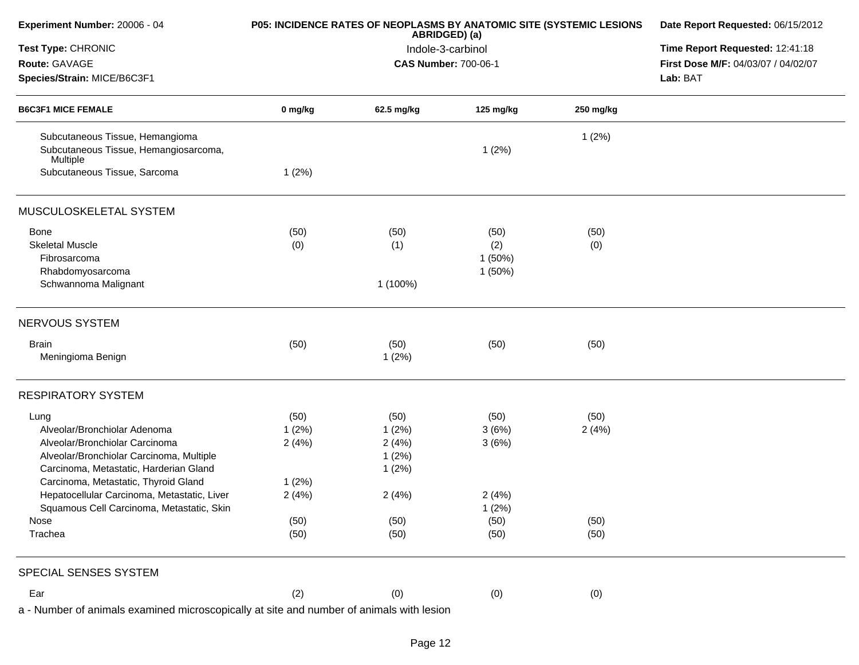| Experiment Number: 20006 - 04                                                            |         | P05: INCIDENCE RATES OF NEOPLASMS BY ANATOMIC SITE (SYSTEMIC LESIONS<br>ABRIDGED) (a) | Date Report Requested: 06/15/2012<br>Time Report Requested: 12:41:18 |           |                                     |
|------------------------------------------------------------------------------------------|---------|---------------------------------------------------------------------------------------|----------------------------------------------------------------------|-----------|-------------------------------------|
| Test Type: CHRONIC                                                                       |         | Indole-3-carbinol                                                                     |                                                                      |           |                                     |
| Route: GAVAGE                                                                            |         |                                                                                       | <b>CAS Number: 700-06-1</b>                                          |           | First Dose M/F: 04/03/07 / 04/02/07 |
| Species/Strain: MICE/B6C3F1<br><b>B6C3F1 MICE FEMALE</b>                                 |         |                                                                                       | Lab: BAT                                                             |           |                                     |
|                                                                                          | 0 mg/kg | 62.5 mg/kg                                                                            | 125 mg/kg                                                            | 250 mg/kg |                                     |
| Subcutaneous Tissue, Hemangioma                                                          |         |                                                                                       |                                                                      | 1(2%)     |                                     |
| Subcutaneous Tissue, Hemangiosarcoma,<br>Multiple                                        |         |                                                                                       | 1(2%)                                                                |           |                                     |
| Subcutaneous Tissue, Sarcoma                                                             | 1(2%)   |                                                                                       |                                                                      |           |                                     |
| MUSCULOSKELETAL SYSTEM                                                                   |         |                                                                                       |                                                                      |           |                                     |
| Bone                                                                                     | (50)    | (50)                                                                                  | (50)                                                                 | (50)      |                                     |
| <b>Skeletal Muscle</b>                                                                   | (0)     | (1)                                                                                   | (2)                                                                  | (0)       |                                     |
| Fibrosarcoma                                                                             |         |                                                                                       | 1(50%)                                                               |           |                                     |
| Rhabdomyosarcoma                                                                         |         |                                                                                       | 1(50%)                                                               |           |                                     |
| Schwannoma Malignant                                                                     |         | 1 (100%)                                                                              |                                                                      |           |                                     |
| NERVOUS SYSTEM                                                                           |         |                                                                                       |                                                                      |           |                                     |
| <b>Brain</b>                                                                             | (50)    | (50)                                                                                  | (50)                                                                 | (50)      |                                     |
| Meningioma Benign                                                                        |         | 1(2%)                                                                                 |                                                                      |           |                                     |
| <b>RESPIRATORY SYSTEM</b>                                                                |         |                                                                                       |                                                                      |           |                                     |
| Lung                                                                                     | (50)    | (50)                                                                                  | (50)                                                                 | (50)      |                                     |
| Alveolar/Bronchiolar Adenoma                                                             | 1(2%)   | 1(2%)                                                                                 | 3(6%)                                                                | 2(4%)     |                                     |
| Alveolar/Bronchiolar Carcinoma                                                           | 2(4%)   | 2(4%)                                                                                 | 3(6%)                                                                |           |                                     |
| Alveolar/Bronchiolar Carcinoma, Multiple                                                 |         | 1(2%)                                                                                 |                                                                      |           |                                     |
| Carcinoma, Metastatic, Harderian Gland                                                   |         | 1(2%)                                                                                 |                                                                      |           |                                     |
| Carcinoma, Metastatic, Thyroid Gland                                                     | 1(2%)   |                                                                                       |                                                                      |           |                                     |
| Hepatocellular Carcinoma, Metastatic, Liver                                              | 2(4%)   | 2(4%)                                                                                 | 2(4%)                                                                |           |                                     |
| Squamous Cell Carcinoma, Metastatic, Skin                                                |         |                                                                                       | 1(2%)                                                                |           |                                     |
| Nose                                                                                     | (50)    | (50)                                                                                  | (50)                                                                 | (50)      |                                     |
| Trachea                                                                                  | (50)    | (50)                                                                                  | (50)                                                                 | (50)      |                                     |
| SPECIAL SENSES SYSTEM                                                                    |         |                                                                                       |                                                                      |           |                                     |
| Ear                                                                                      | (2)     | (0)                                                                                   | (0)                                                                  | (0)       |                                     |
| a - Number of animals examined microscopically at site and number of animals with lesion |         |                                                                                       |                                                                      |           |                                     |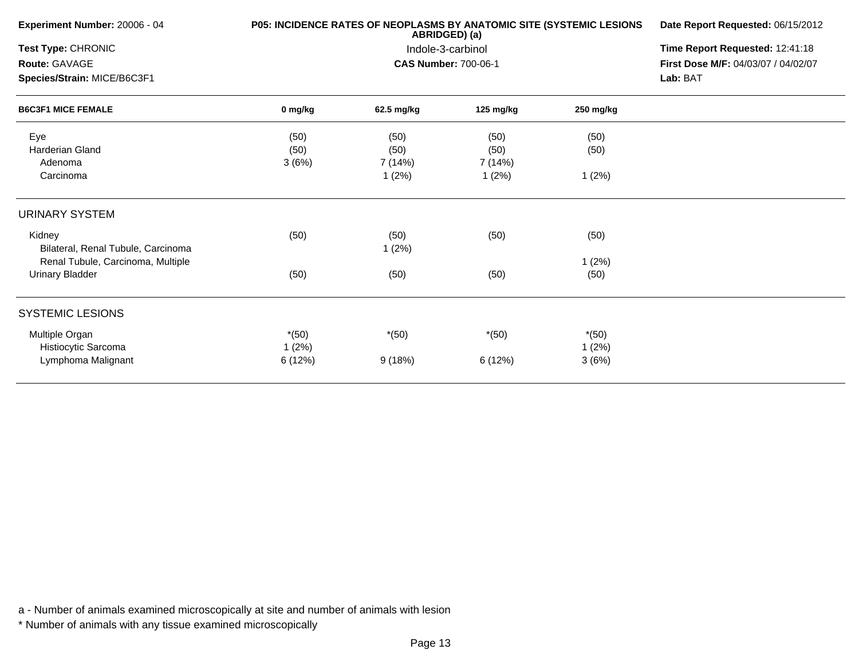| Experiment Number: 20006 - 04                            |         | P05: INCIDENCE RATES OF NEOPLASMS BY ANATOMIC SITE (SYSTEMIC LESIONS<br>ABRIDGED) (a) | Date Report Requested: 06/15/2012<br>Time Report Requested: 12:41:18<br>First Dose M/F: 04/03/07 / 04/02/07<br>Lab: BAT |           |  |
|----------------------------------------------------------|---------|---------------------------------------------------------------------------------------|-------------------------------------------------------------------------------------------------------------------------|-----------|--|
| Test Type: CHRONIC                                       |         | Indole-3-carbinol                                                                     |                                                                                                                         |           |  |
| Route: GAVAGE                                            |         | <b>CAS Number: 700-06-1</b>                                                           |                                                                                                                         |           |  |
| Species/Strain: MICE/B6C3F1<br><b>B6C3F1 MICE FEMALE</b> |         |                                                                                       |                                                                                                                         |           |  |
|                                                          | 0 mg/kg | 62.5 mg/kg                                                                            | 125 mg/kg                                                                                                               | 250 mg/kg |  |
| Eye                                                      | (50)    | (50)                                                                                  | (50)                                                                                                                    | (50)      |  |
| <b>Harderian Gland</b>                                   | (50)    | (50)                                                                                  | (50)                                                                                                                    | (50)      |  |
| Adenoma                                                  | 3(6%)   | 7 (14%)                                                                               | 7 (14%)                                                                                                                 |           |  |
| Carcinoma                                                |         | 1(2%)                                                                                 | 1(2%)                                                                                                                   | 1(2%)     |  |
| <b>URINARY SYSTEM</b>                                    |         |                                                                                       |                                                                                                                         |           |  |
| Kidney<br>Bilateral, Renal Tubule, Carcinoma             | (50)    | (50)<br>1(2%)                                                                         | (50)                                                                                                                    | (50)      |  |
| Renal Tubule, Carcinoma, Multiple                        |         |                                                                                       |                                                                                                                         | 1(2%)     |  |
| Urinary Bladder                                          | (50)    | (50)                                                                                  | (50)                                                                                                                    | (50)      |  |
| <b>SYSTEMIC LESIONS</b>                                  |         |                                                                                       |                                                                                                                         |           |  |
| Multiple Organ                                           | $*(50)$ | $*(50)$                                                                               | $*(50)$                                                                                                                 | $*(50)$   |  |
| Histiocytic Sarcoma                                      | 1(2%)   |                                                                                       |                                                                                                                         | 1(2%)     |  |
| Lymphoma Malignant                                       | 6(12%)  | 9(18%)                                                                                | 6 (12%)                                                                                                                 | 3(6%)     |  |
|                                                          |         |                                                                                       |                                                                                                                         |           |  |

\* Number of animals with any tissue examined microscopically